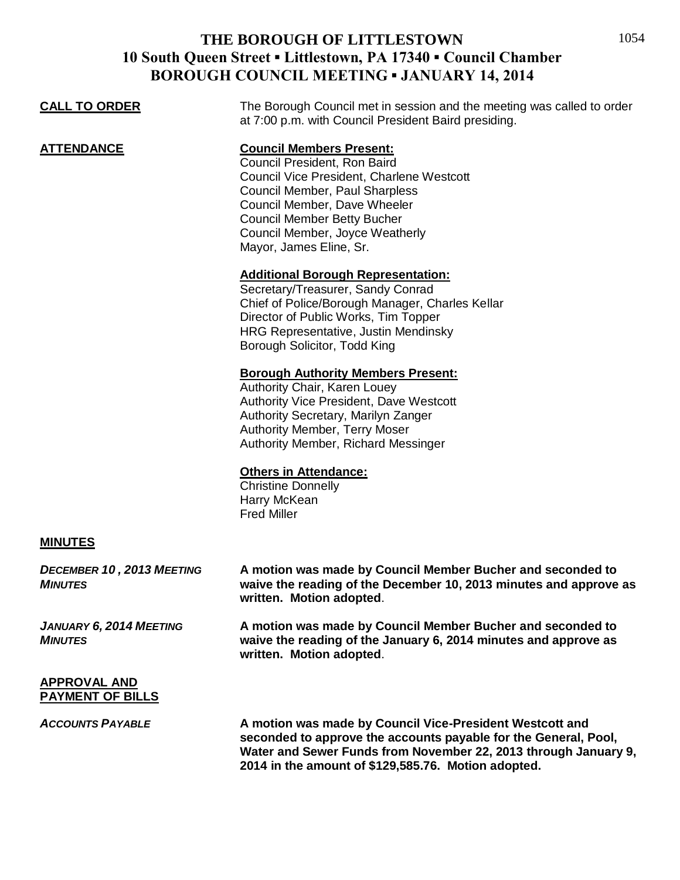| <b>CALL TO ORDER</b>                               | The Borough Council met in session and the meeting was called to order<br>at 7:00 p.m. with Council President Baird presiding.                                                                                                                                                     |
|----------------------------------------------------|------------------------------------------------------------------------------------------------------------------------------------------------------------------------------------------------------------------------------------------------------------------------------------|
| <b>ATTENDANCE</b>                                  | <b>Council Members Present:</b><br>Council President, Ron Baird<br>Council Vice President, Charlene Westcott<br>Council Member, Paul Sharpless<br>Council Member, Dave Wheeler<br><b>Council Member Betty Bucher</b><br>Council Member, Joyce Weatherly<br>Mayor, James Eline, Sr. |
|                                                    | <b>Additional Borough Representation:</b><br>Secretary/Treasurer, Sandy Conrad<br>Chief of Police/Borough Manager, Charles Kellar<br>Director of Public Works, Tim Topper<br>HRG Representative, Justin Mendinsky<br>Borough Solicitor, Todd King                                  |
|                                                    | <b>Borough Authority Members Present:</b><br>Authority Chair, Karen Louey<br><b>Authority Vice President, Dave Westcott</b><br>Authority Secretary, Marilyn Zanger<br><b>Authority Member, Terry Moser</b><br>Authority Member, Richard Messinger                                  |
|                                                    | <b>Others in Attendance:</b><br><b>Christine Donnelly</b><br>Harry McKean<br><b>Fred Miller</b>                                                                                                                                                                                    |
| <b>MINUTES</b>                                     |                                                                                                                                                                                                                                                                                    |
| <b>DECEMBER 10, 2013 MEETING</b><br><b>MINUTES</b> | A motion was made by Council Member Bucher and seconded to<br>waive the reading of the December 10, 2013 minutes and approve as<br>written. Motion adopted.                                                                                                                        |
| <b>JANUARY 6, 2014 MEETING</b><br><b>MINUTES</b>   | A motion was made by Council Member Bucher and seconded to<br>waive the reading of the January 6, 2014 minutes and approve as<br>written. Motion adopted.                                                                                                                          |
| <b>APPROVAL AND</b><br><b>PAYMENT OF BILLS</b>     |                                                                                                                                                                                                                                                                                    |

*ACCOUNTS PAYABLE* **A motion was made by Council Vice-President Westcott and seconded to approve the accounts payable for the General, Pool, Water and Sewer Funds from November 22, 2013 through January 9, 2014 in the amount of \$129,585.76. Motion adopted.**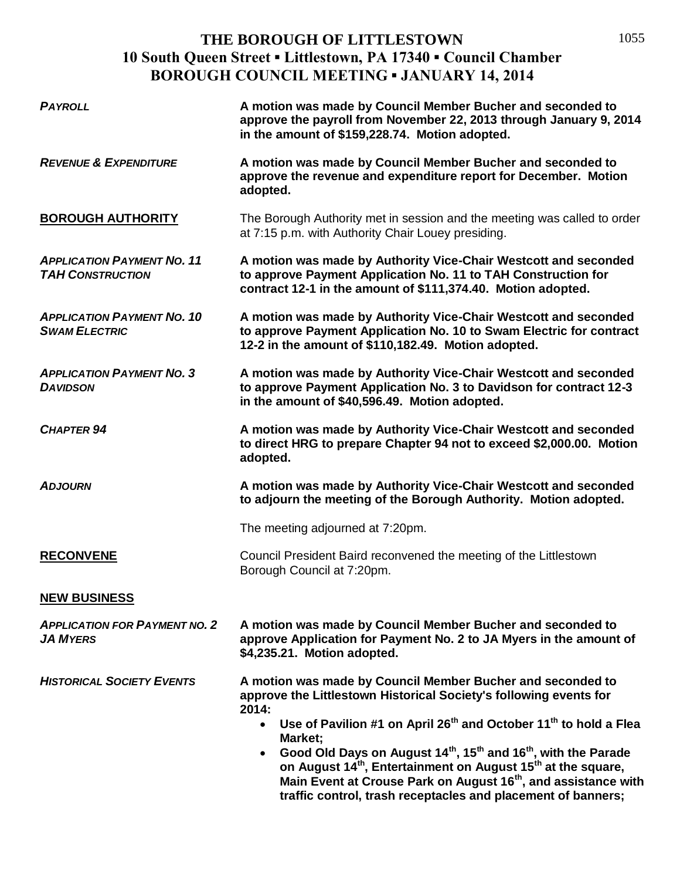| <b>PAYROLL</b>                                               | A motion was made by Council Member Bucher and seconded to<br>approve the payroll from November 22, 2013 through January 9, 2014<br>in the amount of \$159,228.74. Motion adopted.                                                                                                                                                                                                                                                                                                                                                                                                                                    |
|--------------------------------------------------------------|-----------------------------------------------------------------------------------------------------------------------------------------------------------------------------------------------------------------------------------------------------------------------------------------------------------------------------------------------------------------------------------------------------------------------------------------------------------------------------------------------------------------------------------------------------------------------------------------------------------------------|
| <b>REVENUE &amp; EXPENDITURE</b>                             | A motion was made by Council Member Bucher and seconded to<br>approve the revenue and expenditure report for December. Motion<br>adopted.                                                                                                                                                                                                                                                                                                                                                                                                                                                                             |
| <b>BOROUGH AUTHORITY</b>                                     | The Borough Authority met in session and the meeting was called to order<br>at 7:15 p.m. with Authority Chair Louey presiding.                                                                                                                                                                                                                                                                                                                                                                                                                                                                                        |
| <b>APPLICATION PAYMENT NO. 11</b><br><b>TAH CONSTRUCTION</b> | A motion was made by Authority Vice-Chair Westcott and seconded<br>to approve Payment Application No. 11 to TAH Construction for<br>contract 12-1 in the amount of \$111,374.40. Motion adopted.                                                                                                                                                                                                                                                                                                                                                                                                                      |
| <b>APPLICATION PAYMENT NO. 10</b><br><b>SWAM ELECTRIC</b>    | A motion was made by Authority Vice-Chair Westcott and seconded<br>to approve Payment Application No. 10 to Swam Electric for contract<br>12-2 in the amount of \$110,182.49. Motion adopted.                                                                                                                                                                                                                                                                                                                                                                                                                         |
| <b>APPLICATION PAYMENT NO. 3</b><br><b>DAVIDSON</b>          | A motion was made by Authority Vice-Chair Westcott and seconded<br>to approve Payment Application No. 3 to Davidson for contract 12-3<br>in the amount of \$40,596.49. Motion adopted.                                                                                                                                                                                                                                                                                                                                                                                                                                |
| <b>CHAPTER 94</b>                                            | A motion was made by Authority Vice-Chair Westcott and seconded<br>to direct HRG to prepare Chapter 94 not to exceed \$2,000.00. Motion<br>adopted.                                                                                                                                                                                                                                                                                                                                                                                                                                                                   |
| <b>ADJOURN</b>                                               | A motion was made by Authority Vice-Chair Westcott and seconded<br>to adjourn the meeting of the Borough Authority. Motion adopted.                                                                                                                                                                                                                                                                                                                                                                                                                                                                                   |
|                                                              | The meeting adjourned at 7:20pm.                                                                                                                                                                                                                                                                                                                                                                                                                                                                                                                                                                                      |
| <b>RECONVENE</b>                                             | Council President Baird reconvened the meeting of the Littlestown<br>Borough Council at 7:20pm.                                                                                                                                                                                                                                                                                                                                                                                                                                                                                                                       |
| <b>NEW BUSINESS</b>                                          |                                                                                                                                                                                                                                                                                                                                                                                                                                                                                                                                                                                                                       |
| <b>APPLICATION FOR PAYMENT NO. 2</b><br><b>JA MYERS</b>      | A motion was made by Council Member Bucher and seconded to<br>approve Application for Payment No. 2 to JA Myers in the amount of<br>\$4,235.21. Motion adopted.                                                                                                                                                                                                                                                                                                                                                                                                                                                       |
| <b>HISTORICAL SOCIETY EVENTS</b>                             | A motion was made by Council Member Bucher and seconded to<br>approve the Littlestown Historical Society's following events for<br>2014:<br>Use of Pavilion #1 on April 26 <sup>th</sup> and October 11 <sup>th</sup> to hold a Flea<br>$\bullet$<br>Market;<br>Good Old Days on August 14 <sup>th</sup> , 15 <sup>th</sup> and 16 <sup>th</sup> , with the Parade<br>$\bullet$<br>on August 14 <sup>th</sup> , Entertainment on August 15 <sup>th</sup> at the square,<br>Main Event at Crouse Park on August 16 <sup>th</sup> , and assistance with<br>traffic control, trash receptacles and placement of banners; |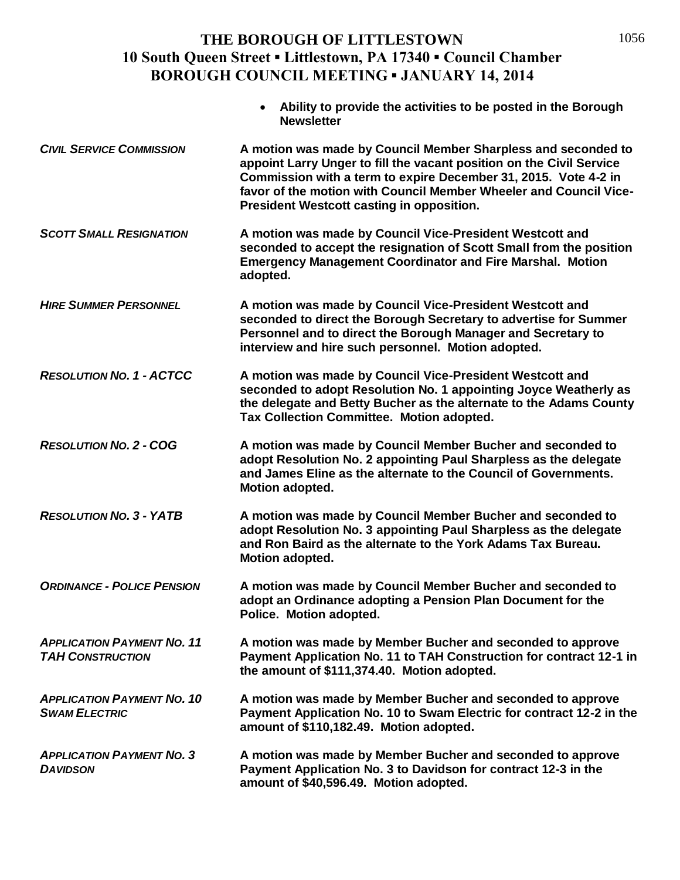|                                                              | Ability to provide the activities to be posted in the Borough<br><b>Newsletter</b>                                                                                                                                                                                                                                                |
|--------------------------------------------------------------|-----------------------------------------------------------------------------------------------------------------------------------------------------------------------------------------------------------------------------------------------------------------------------------------------------------------------------------|
| <b>CIVIL SERVICE COMMISSION</b>                              | A motion was made by Council Member Sharpless and seconded to<br>appoint Larry Unger to fill the vacant position on the Civil Service<br>Commission with a term to expire December 31, 2015. Vote 4-2 in<br>favor of the motion with Council Member Wheeler and Council Vice-<br><b>President Westcott casting in opposition.</b> |
| <b>SCOTT SMALL RESIGNATION</b>                               | A motion was made by Council Vice-President Westcott and<br>seconded to accept the resignation of Scott Small from the position<br><b>Emergency Management Coordinator and Fire Marshal. Motion</b><br>adopted.                                                                                                                   |
| <b>HIRE SUMMER PERSONNEL</b>                                 | A motion was made by Council Vice-President Westcott and<br>seconded to direct the Borough Secretary to advertise for Summer<br>Personnel and to direct the Borough Manager and Secretary to<br>interview and hire such personnel. Motion adopted.                                                                                |
| <b>RESOLUTION NO. 1 - ACTCC</b>                              | A motion was made by Council Vice-President Westcott and<br>seconded to adopt Resolution No. 1 appointing Joyce Weatherly as<br>the delegate and Betty Bucher as the alternate to the Adams County<br>Tax Collection Committee. Motion adopted.                                                                                   |
| <b>RESOLUTION NO. 2 - COG</b>                                | A motion was made by Council Member Bucher and seconded to<br>adopt Resolution No. 2 appointing Paul Sharpless as the delegate<br>and James Eline as the alternate to the Council of Governments.<br><b>Motion adopted.</b>                                                                                                       |
| <b>RESOLUTION NO. 3 - YATB</b>                               | A motion was made by Council Member Bucher and seconded to<br>adopt Resolution No. 3 appointing Paul Sharpless as the delegate<br>and Ron Baird as the alternate to the York Adams Tax Bureau.<br>Motion adopted.                                                                                                                 |
| <b>ORDINANCE - POLICE PENSION</b>                            | A motion was made by Council Member Bucher and seconded to<br>adopt an Ordinance adopting a Pension Plan Document for the<br>Police. Motion adopted.                                                                                                                                                                              |
| <b>APPLICATION PAYMENT NO. 11</b><br><b>TAH CONSTRUCTION</b> | A motion was made by Member Bucher and seconded to approve<br>Payment Application No. 11 to TAH Construction for contract 12-1 in<br>the amount of \$111,374.40. Motion adopted.                                                                                                                                                  |
| <b>APPLICATION PAYMENT NO. 10</b><br><b>SWAM ELECTRIC</b>    | A motion was made by Member Bucher and seconded to approve<br>Payment Application No. 10 to Swam Electric for contract 12-2 in the<br>amount of \$110,182.49. Motion adopted.                                                                                                                                                     |
| <b>APPLICATION PAYMENT NO. 3</b><br><b>DAVIDSON</b>          | A motion was made by Member Bucher and seconded to approve<br>Payment Application No. 3 to Davidson for contract 12-3 in the<br>amount of \$40,596.49. Motion adopted.                                                                                                                                                            |